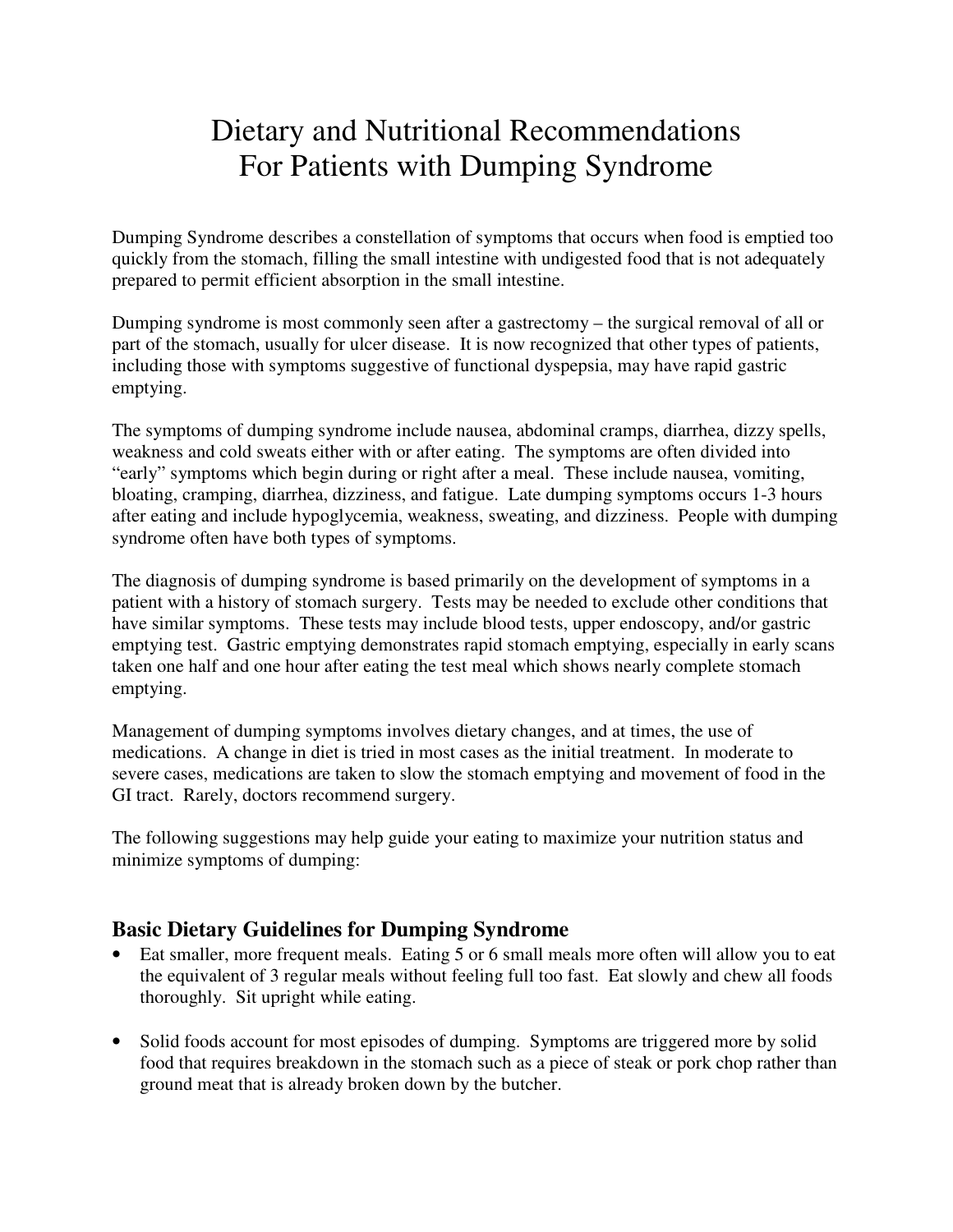## Dietary and Nutritional Recommendations For Patients with Dumping Syndrome

Dumping Syndrome describes a constellation of symptoms that occurs when food is emptied too quickly from the stomach, filling the small intestine with undigested food that is not adequately prepared to permit efficient absorption in the small intestine.

Dumping syndrome is most commonly seen after a gastrectomy – the surgical removal of all or part of the stomach, usually for ulcer disease. It is now recognized that other types of patients, including those with symptoms suggestive of functional dyspepsia, may have rapid gastric emptying.

The symptoms of dumping syndrome include nausea, abdominal cramps, diarrhea, dizzy spells, weakness and cold sweats either with or after eating. The symptoms are often divided into "early" symptoms which begin during or right after a meal. These include nausea, vomiting, bloating, cramping, diarrhea, dizziness, and fatigue. Late dumping symptoms occurs 1-3 hours after eating and include hypoglycemia, weakness, sweating, and dizziness. People with dumping syndrome often have both types of symptoms.

The diagnosis of dumping syndrome is based primarily on the development of symptoms in a patient with a history of stomach surgery. Tests may be needed to exclude other conditions that have similar symptoms. These tests may include blood tests, upper endoscopy, and/or gastric emptying test. Gastric emptying demonstrates rapid stomach emptying, especially in early scans taken one half and one hour after eating the test meal which shows nearly complete stomach emptying.

Management of dumping symptoms involves dietary changes, and at times, the use of medications. A change in diet is tried in most cases as the initial treatment. In moderate to severe cases, medications are taken to slow the stomach emptying and movement of food in the GI tract. Rarely, doctors recommend surgery.

The following suggestions may help guide your eating to maximize your nutrition status and minimize symptoms of dumping:

## **Basic Dietary Guidelines for Dumping Syndrome**

- Eat smaller, more frequent meals. Eating 5 or 6 small meals more often will allow you to eat the equivalent of 3 regular meals without feeling full too fast. Eat slowly and chew all foods thoroughly. Sit upright while eating.
- Solid foods account for most episodes of dumping. Symptoms are triggered more by solid food that requires breakdown in the stomach such as a piece of steak or pork chop rather than ground meat that is already broken down by the butcher.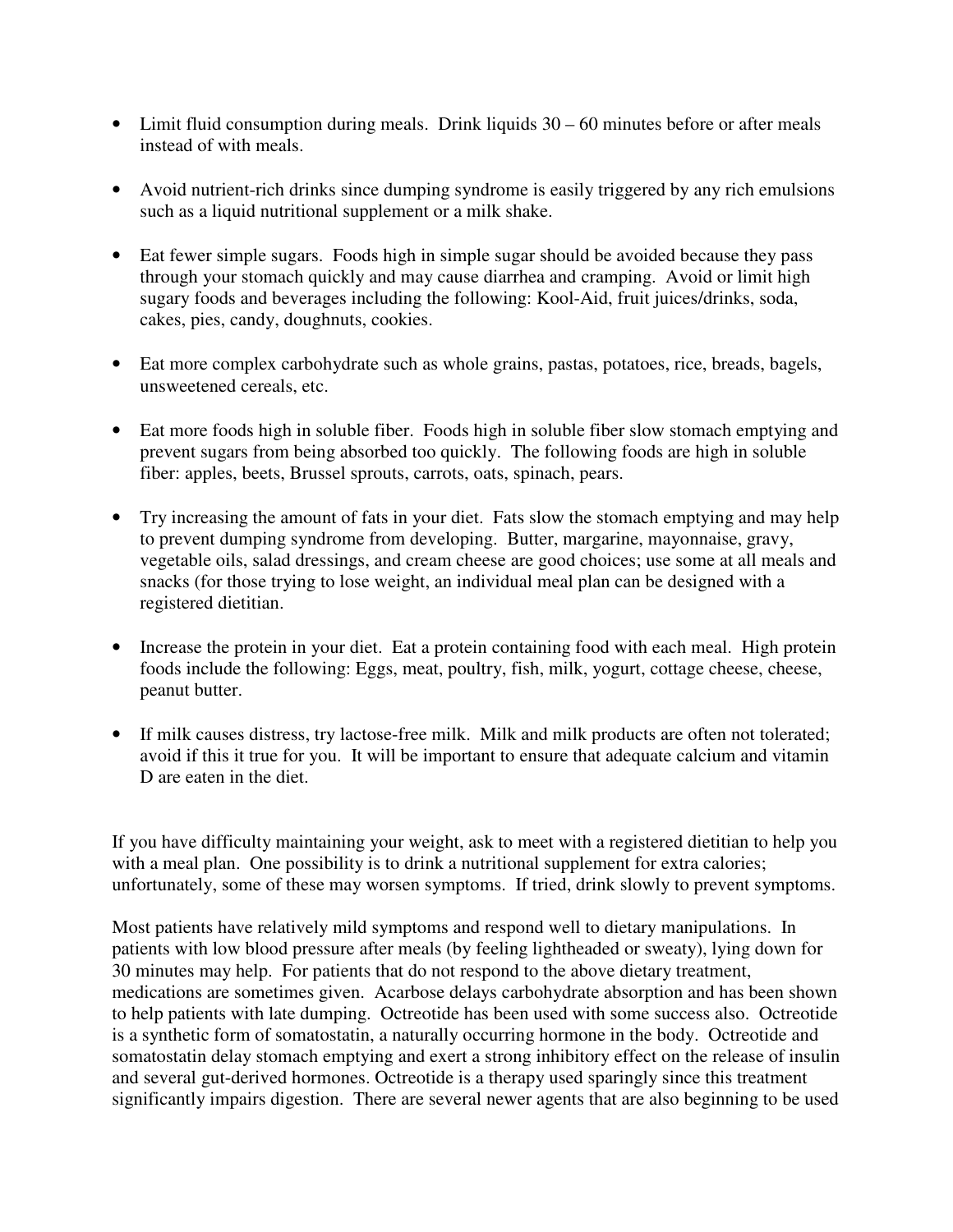- Limit fluid consumption during meals. Drink liquids 30 60 minutes before or after meals instead of with meals.
- Avoid nutrient-rich drinks since dumping syndrome is easily triggered by any rich emulsions such as a liquid nutritional supplement or a milk shake.
- Eat fewer simple sugars. Foods high in simple sugar should be avoided because they pass through your stomach quickly and may cause diarrhea and cramping. Avoid or limit high sugary foods and beverages including the following: Kool-Aid, fruit juices/drinks, soda, cakes, pies, candy, doughnuts, cookies.
- Eat more complex carbohydrate such as whole grains, pastas, potatoes, rice, breads, bagels, unsweetened cereals, etc.
- Eat more foods high in soluble fiber. Foods high in soluble fiber slow stomach emptying and prevent sugars from being absorbed too quickly. The following foods are high in soluble fiber: apples, beets, Brussel sprouts, carrots, oats, spinach, pears.
- Try increasing the amount of fats in your diet. Fats slow the stomach emptying and may help to prevent dumping syndrome from developing. Butter, margarine, mayonnaise, gravy, vegetable oils, salad dressings, and cream cheese are good choices; use some at all meals and snacks (for those trying to lose weight, an individual meal plan can be designed with a registered dietitian.
- Increase the protein in your diet. Eat a protein containing food with each meal. High protein foods include the following: Eggs, meat, poultry, fish, milk, yogurt, cottage cheese, cheese, peanut butter.
- If milk causes distress, try lactose-free milk. Milk and milk products are often not tolerated; avoid if this it true for you. It will be important to ensure that adequate calcium and vitamin D are eaten in the diet.

If you have difficulty maintaining your weight, ask to meet with a registered dietitian to help you with a meal plan. One possibility is to drink a nutritional supplement for extra calories; unfortunately, some of these may worsen symptoms. If tried, drink slowly to prevent symptoms.

Most patients have relatively mild symptoms and respond well to dietary manipulations. In patients with low blood pressure after meals (by feeling lightheaded or sweaty), lying down for 30 minutes may help. For patients that do not respond to the above dietary treatment, medications are sometimes given. Acarbose delays carbohydrate absorption and has been shown to help patients with late dumping. Octreotide has been used with some success also. Octreotide is a synthetic form of somatostatin, a naturally occurring hormone in the body. Octreotide and somatostatin delay stomach emptying and exert a strong inhibitory effect on the release of insulin and several gut-derived hormones. Octreotide is a therapy used sparingly since this treatment significantly impairs digestion. There are several newer agents that are also beginning to be used